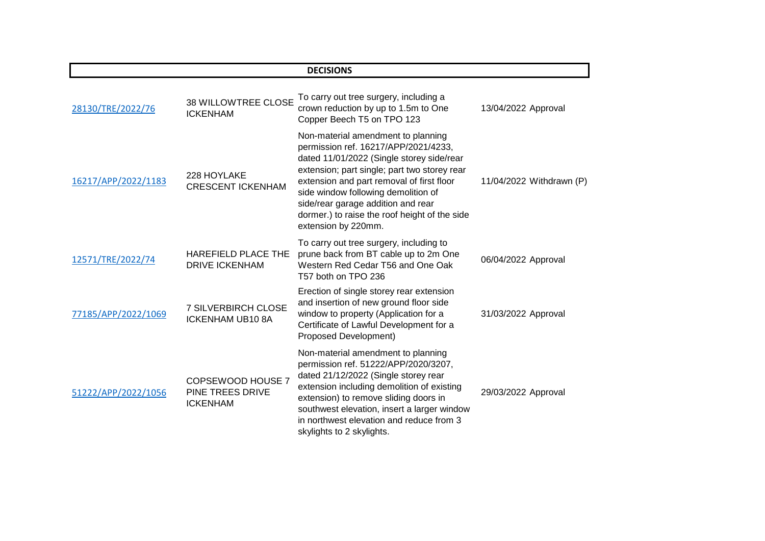|                     |                                                          | <b>DECISIONS</b>                                                                                                                                                                                                                                                                                                                                                          |                          |
|---------------------|----------------------------------------------------------|---------------------------------------------------------------------------------------------------------------------------------------------------------------------------------------------------------------------------------------------------------------------------------------------------------------------------------------------------------------------------|--------------------------|
| 28130/TRE/2022/76   | <b>38 WILLOWTREE CLOSE</b><br><b>ICKENHAM</b>            | To carry out tree surgery, including a<br>crown reduction by up to 1.5m to One<br>Copper Beech T5 on TPO 123                                                                                                                                                                                                                                                              | 13/04/2022 Approval      |
| 16217/APP/2022/1183 | 228 HOYLAKE<br><b>CRESCENT ICKENHAM</b>                  | Non-material amendment to planning<br>permission ref. 16217/APP/2021/4233,<br>dated 11/01/2022 (Single storey side/rear<br>extension; part single; part two storey rear<br>extension and part removal of first floor<br>side window following demolition of<br>side/rear garage addition and rear<br>dormer.) to raise the roof height of the side<br>extension by 220mm. | 11/04/2022 Withdrawn (P) |
| 12571/TRE/2022/74   | HAREFIELD PLACE THE<br><b>DRIVE ICKENHAM</b>             | To carry out tree surgery, including to<br>prune back from BT cable up to 2m One<br>Western Red Cedar T56 and One Oak<br>T57 both on TPO 236                                                                                                                                                                                                                              | 06/04/2022 Approval      |
| 77185/APP/2022/1069 | <b>7 SILVERBIRCH CLOSE</b><br><b>ICKENHAM UB10 8A</b>    | Erection of single storey rear extension<br>and insertion of new ground floor side<br>window to property (Application for a<br>Certificate of Lawful Development for a<br>Proposed Development)                                                                                                                                                                           | 31/03/2022 Approval      |
| 51222/APP/2022/1056 | COPSEWOOD HOUSE 7<br>PINE TREES DRIVE<br><b>ICKENHAM</b> | Non-material amendment to planning<br>permission ref. 51222/APP/2020/3207,<br>dated 21/12/2022 (Single storey rear<br>extension including demolition of existing<br>extension) to remove sliding doors in<br>southwest elevation, insert a larger window<br>in northwest elevation and reduce from 3<br>skylights to 2 skylights.                                         | 29/03/2022 Approval      |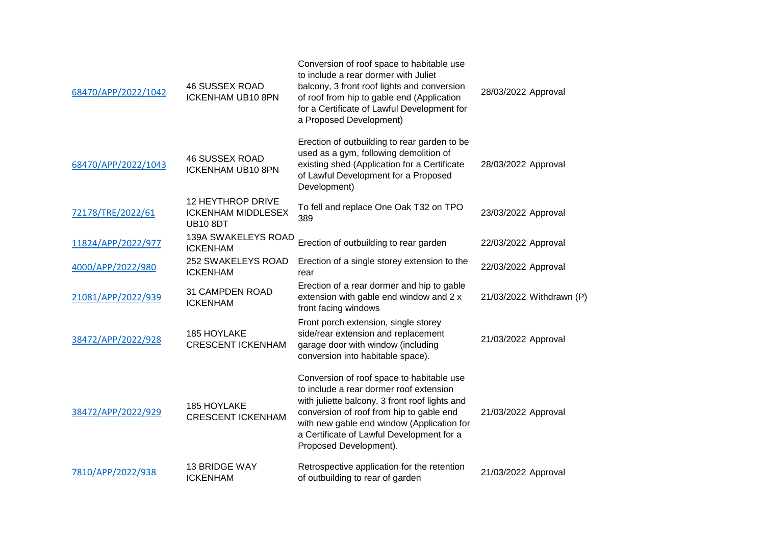| 68470/APP/2022/1042 | <b>46 SUSSEX ROAD</b><br><b>ICKENHAM UB10 8PN</b>                 | Conversion of roof space to habitable use<br>to include a rear dormer with Juliet<br>balcony, 3 front roof lights and conversion<br>of roof from hip to gable end (Application<br>for a Certificate of Lawful Development for<br>a Proposed Development)                                                | 28/03/2022 Approval      |
|---------------------|-------------------------------------------------------------------|---------------------------------------------------------------------------------------------------------------------------------------------------------------------------------------------------------------------------------------------------------------------------------------------------------|--------------------------|
| 68470/APP/2022/1043 | <b>46 SUSSEX ROAD</b><br><b>ICKENHAM UB10 8PN</b>                 | Erection of outbuilding to rear garden to be<br>used as a gym, following demolition of<br>existing shed (Application for a Certificate<br>of Lawful Development for a Proposed<br>Development)                                                                                                          | 28/03/2022 Approval      |
| 72178/TRE/2022/61   | 12 HEYTHROP DRIVE<br><b>ICKENHAM MIDDLESEX</b><br><b>UB10 8DT</b> | To fell and replace One Oak T32 on TPO<br>389                                                                                                                                                                                                                                                           | 23/03/2022 Approval      |
| 11824/APP/2022/977  | 139A SWAKELEYS ROAD<br><b>ICKENHAM</b>                            | Erection of outbuilding to rear garden                                                                                                                                                                                                                                                                  | 22/03/2022 Approval      |
| 4000/APP/2022/980   | 252 SWAKELEYS ROAD<br><b>ICKENHAM</b>                             | Erection of a single storey extension to the<br>rear                                                                                                                                                                                                                                                    | 22/03/2022 Approval      |
| 21081/APP/2022/939  | 31 CAMPDEN ROAD<br><b>ICKENHAM</b>                                | Erection of a rear dormer and hip to gable<br>extension with gable end window and 2 x<br>front facing windows                                                                                                                                                                                           | 21/03/2022 Withdrawn (P) |
| 38472/APP/2022/928  | 185 HOYLAKE<br><b>CRESCENT ICKENHAM</b>                           | Front porch extension, single storey<br>side/rear extension and replacement<br>garage door with window (including<br>conversion into habitable space).                                                                                                                                                  | 21/03/2022 Approval      |
| 38472/APP/2022/929  | 185 HOYLAKE<br><b>CRESCENT ICKENHAM</b>                           | Conversion of roof space to habitable use<br>to include a rear dormer roof extension<br>with juliette balcony, 3 front roof lights and<br>conversion of roof from hip to gable end<br>with new gable end window (Application for<br>a Certificate of Lawful Development for a<br>Proposed Development). | 21/03/2022 Approval      |
| 7810/APP/2022/938   | <b>13 BRIDGE WAY</b><br><b>ICKENHAM</b>                           | Retrospective application for the retention<br>of outbuilding to rear of garden                                                                                                                                                                                                                         | 21/03/2022 Approval      |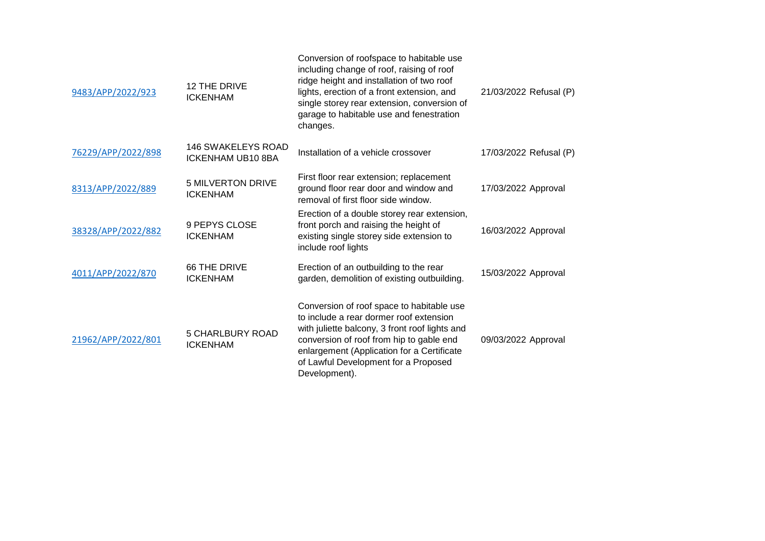| 9483/APP/2022/923  | 12 THE DRIVE<br><b>ICKENHAM</b>                       | Conversion of roofspace to habitable use<br>including change of roof, raising of roof<br>ridge height and installation of two roof<br>lights, erection of a front extension, and<br>single storey rear extension, conversion of<br>garage to habitable use and fenestration<br>changes.   | 21/03/2022 Refusal (P) |
|--------------------|-------------------------------------------------------|-------------------------------------------------------------------------------------------------------------------------------------------------------------------------------------------------------------------------------------------------------------------------------------------|------------------------|
| 76229/APP/2022/898 | <b>146 SWAKELEYS ROAD</b><br><b>ICKENHAM UB10 8BA</b> | Installation of a vehicle crossover                                                                                                                                                                                                                                                       | 17/03/2022 Refusal (P) |
| 8313/APP/2022/889  | <b>5 MILVERTON DRIVE</b><br><b>ICKENHAM</b>           | First floor rear extension; replacement<br>ground floor rear door and window and<br>removal of first floor side window.                                                                                                                                                                   | 17/03/2022 Approval    |
| 38328/APP/2022/882 | 9 PEPYS CLOSE<br><b>ICKENHAM</b>                      | Erection of a double storey rear extension,<br>front porch and raising the height of<br>existing single storey side extension to<br>include roof lights                                                                                                                                   | 16/03/2022 Approval    |
| 4011/APP/2022/870  | 66 THE DRIVE<br><b>ICKENHAM</b>                       | Erection of an outbuilding to the rear<br>garden, demolition of existing outbuilding.                                                                                                                                                                                                     | 15/03/2022 Approval    |
| 21962/APP/2022/801 | <b>5 CHARLBURY ROAD</b><br><b>ICKENHAM</b>            | Conversion of roof space to habitable use<br>to include a rear dormer roof extension<br>with juliette balcony, 3 front roof lights and<br>conversion of roof from hip to gable end<br>enlargement (Application for a Certificate<br>of Lawful Development for a Proposed<br>Development). | 09/03/2022 Approval    |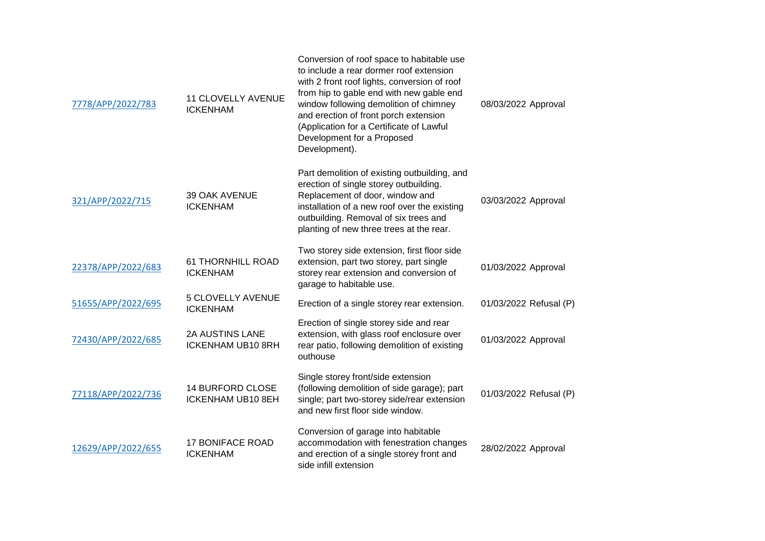| 7778/APP/2022/783  | <b>11 CLOVELLY AVENUE</b><br><b>ICKENHAM</b>        | Conversion of roof space to habitable use<br>to include a rear dormer roof extension<br>with 2 front roof lights, conversion of roof<br>from hip to gable end with new gable end<br>window following demolition of chimney<br>and erection of front porch extension<br>(Application for a Certificate of Lawful<br>Development for a Proposed<br>Development). | 08/03/2022 Approval    |
|--------------------|-----------------------------------------------------|----------------------------------------------------------------------------------------------------------------------------------------------------------------------------------------------------------------------------------------------------------------------------------------------------------------------------------------------------------------|------------------------|
| 321/APP/2022/715   | 39 OAK AVENUE<br><b>ICKENHAM</b>                    | Part demolition of existing outbuilding, and<br>erection of single storey outbuilding.<br>Replacement of door, window and<br>installation of a new roof over the existing<br>outbuilding. Removal of six trees and<br>planting of new three trees at the rear.                                                                                                 | 03/03/2022 Approval    |
| 22378/APP/2022/683 | <b>61 THORNHILL ROAD</b><br><b>ICKENHAM</b>         | Two storey side extension, first floor side<br>extension, part two storey, part single<br>storey rear extension and conversion of<br>garage to habitable use.                                                                                                                                                                                                  | 01/03/2022 Approval    |
| 51655/APP/2022/695 | 5 CLOVELLY AVENUE<br><b>ICKENHAM</b>                | Erection of a single storey rear extension.                                                                                                                                                                                                                                                                                                                    | 01/03/2022 Refusal (P) |
| 72430/APP/2022/685 | <b>2A AUSTINS LANE</b><br><b>ICKENHAM UB10 8RH</b>  | Erection of single storey side and rear<br>extension, with glass roof enclosure over<br>rear patio, following demolition of existing<br>outhouse                                                                                                                                                                                                               | 01/03/2022 Approval    |
| 77118/APP/2022/736 | <b>14 BURFORD CLOSE</b><br><b>ICKENHAM UB10 8EH</b> | Single storey front/side extension<br>(following demolition of side garage); part<br>single; part two-storey side/rear extension<br>and new first floor side window.                                                                                                                                                                                           | 01/03/2022 Refusal (P) |
| 12629/APP/2022/655 | <b>17 BONIFACE ROAD</b><br><b>ICKENHAM</b>          | Conversion of garage into habitable<br>accommodation with fenestration changes<br>and erection of a single storey front and<br>side infill extension                                                                                                                                                                                                           | 28/02/2022 Approval    |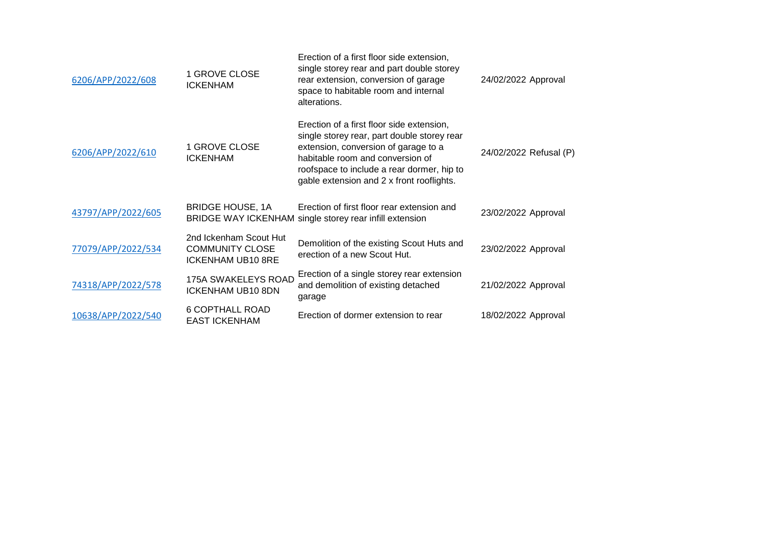| 6206/APP/2022/608  | 1 GROVE CLOSE<br><b>ICKENHAM</b>                                             | Erection of a first floor side extension,<br>single storey rear and part double storey<br>rear extension, conversion of garage<br>space to habitable room and internal<br>alterations.                                                                          | 24/02/2022 Approval    |
|--------------------|------------------------------------------------------------------------------|-----------------------------------------------------------------------------------------------------------------------------------------------------------------------------------------------------------------------------------------------------------------|------------------------|
| 6206/APP/2022/610  | 1 GROVE CLOSE<br><b>ICKENHAM</b>                                             | Erection of a first floor side extension,<br>single storey rear, part double storey rear<br>extension, conversion of garage to a<br>habitable room and conversion of<br>roofspace to include a rear dormer, hip to<br>gable extension and 2 x front rooflights. | 24/02/2022 Refusal (P) |
| 43797/APP/2022/605 | <b>BRIDGE HOUSE, 1A</b>                                                      | Erection of first floor rear extension and<br>BRIDGE WAY ICKENHAM single storey rear infill extension                                                                                                                                                           | 23/02/2022 Approval    |
| 77079/APP/2022/534 | 2nd Ickenham Scout Hut<br><b>COMMUNITY CLOSE</b><br><b>ICKENHAM UB10 8RE</b> | Demolition of the existing Scout Huts and<br>erection of a new Scout Hut.                                                                                                                                                                                       | 23/02/2022 Approval    |
| 74318/APP/2022/578 | 175A SWAKELEYS ROAD<br><b>ICKENHAM UB10 8DN</b>                              | Erection of a single storey rear extension<br>and demolition of existing detached<br>garage                                                                                                                                                                     | 21/02/2022 Approval    |
| 10638/APP/2022/540 | <b>6 COPTHALL ROAD</b><br><b>EAST ICKENHAM</b>                               | Erection of dormer extension to rear                                                                                                                                                                                                                            | 18/02/2022 Approval    |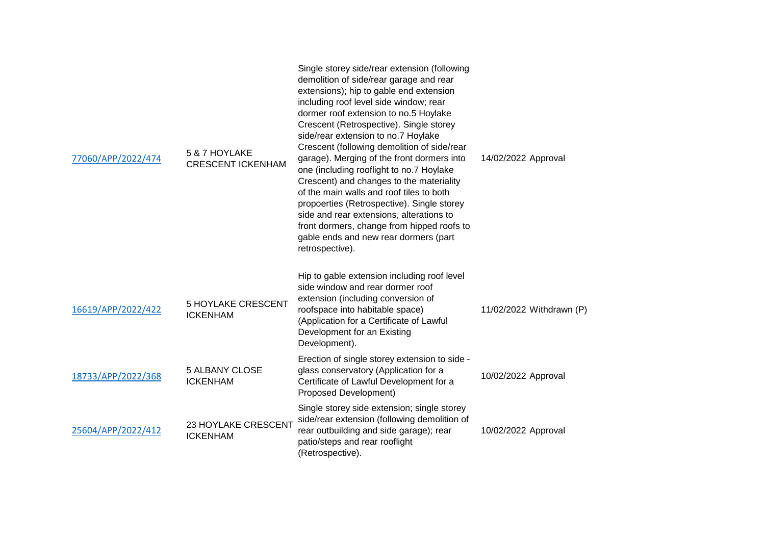| 77060/APP/2022/474 | 5 & 7 HOYLAKE<br><b>CRESCENT ICKENHAM</b>    | Single storey side/rear extension (following<br>demolition of side/rear garage and rear<br>extensions); hip to gable end extension<br>including roof level side window; rear<br>dormer roof extension to no.5 Hoylake<br>Crescent (Retrospective). Single storey<br>side/rear extension to no.7 Hoylake<br>Crescent (following demolition of side/rear<br>garage). Merging of the front dormers into<br>one (including rooflight to no.7 Hoylake<br>Crescent) and changes to the materiality<br>of the main walls and roof tiles to both<br>propoerties (Retrospective). Single storey<br>side and rear extensions, alterations to<br>front dormers, change from hipped roofs to<br>gable ends and new rear dormers (part<br>retrospective). | 14/02/2022 Approval      |
|--------------------|----------------------------------------------|----------------------------------------------------------------------------------------------------------------------------------------------------------------------------------------------------------------------------------------------------------------------------------------------------------------------------------------------------------------------------------------------------------------------------------------------------------------------------------------------------------------------------------------------------------------------------------------------------------------------------------------------------------------------------------------------------------------------------------------------|--------------------------|
| 16619/APP/2022/422 | <b>5 HOYLAKE CRESCENT</b><br><b>ICKENHAM</b> | Hip to gable extension including roof level<br>side window and rear dormer roof<br>extension (including conversion of<br>roofspace into habitable space)<br>(Application for a Certificate of Lawful<br>Development for an Existing<br>Development).                                                                                                                                                                                                                                                                                                                                                                                                                                                                                         | 11/02/2022 Withdrawn (P) |
| 18733/APP/2022/368 | <b>5 ALBANY CLOSE</b><br><b>ICKENHAM</b>     | Erection of single storey extension to side -<br>glass conservatory (Application for a<br>Certificate of Lawful Development for a<br>Proposed Development)                                                                                                                                                                                                                                                                                                                                                                                                                                                                                                                                                                                   | 10/02/2022 Approval      |
| 25604/APP/2022/412 | 23 HOYLAKE CRESCENT<br><b>ICKENHAM</b>       | Single storey side extension; single storey<br>side/rear extension (following demolition of<br>rear outbuilding and side garage); rear<br>patio/steps and rear rooflight<br>(Retrospective).                                                                                                                                                                                                                                                                                                                                                                                                                                                                                                                                                 | 10/02/2022 Approval      |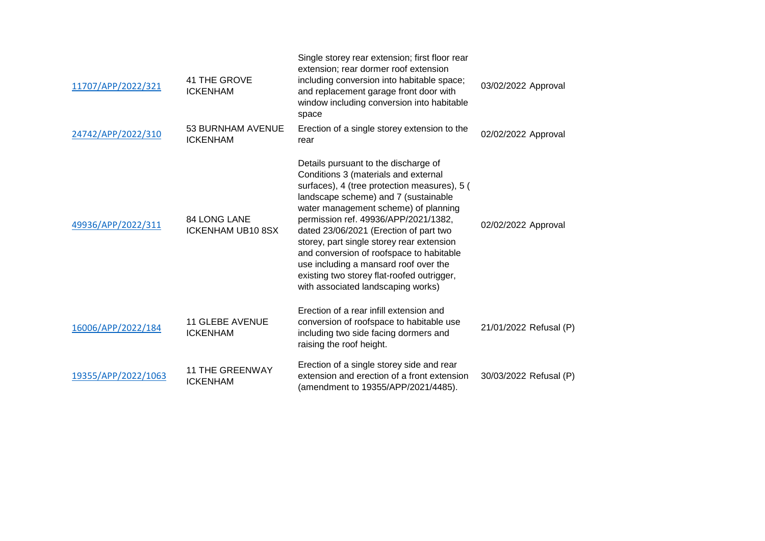| 11707/APP/2022/321  | 41 THE GROVE<br><b>ICKENHAM</b>           | Single storey rear extension; first floor rear<br>extension; rear dormer roof extension<br>including conversion into habitable space;<br>and replacement garage front door with<br>window including conversion into habitable<br>space                                                                                                                                                                                                                                                                               | 03/02/2022 Approval    |
|---------------------|-------------------------------------------|----------------------------------------------------------------------------------------------------------------------------------------------------------------------------------------------------------------------------------------------------------------------------------------------------------------------------------------------------------------------------------------------------------------------------------------------------------------------------------------------------------------------|------------------------|
| 24742/APP/2022/310  | 53 BURNHAM AVENUE<br><b>ICKENHAM</b>      | Erection of a single storey extension to the<br>rear                                                                                                                                                                                                                                                                                                                                                                                                                                                                 | 02/02/2022 Approval    |
| 49936/APP/2022/311  | <b>84 LONG LANE</b><br>ICKENHAM UB10 8SX  | Details pursuant to the discharge of<br>Conditions 3 (materials and external<br>surfaces), 4 (tree protection measures), 5 (<br>landscape scheme) and 7 (sustainable<br>water management scheme) of planning<br>permission ref. 49936/APP/2021/1382,<br>dated 23/06/2021 (Erection of part two<br>storey, part single storey rear extension<br>and conversion of roofspace to habitable<br>use including a mansard roof over the<br>existing two storey flat-roofed outrigger,<br>with associated landscaping works) | 02/02/2022 Approval    |
| 16006/APP/2022/184  | <b>11 GLEBE AVENUE</b><br><b>ICKENHAM</b> | Erection of a rear infill extension and<br>conversion of roofspace to habitable use<br>including two side facing dormers and<br>raising the roof height.                                                                                                                                                                                                                                                                                                                                                             | 21/01/2022 Refusal (P) |
| 19355/APP/2022/1063 | <b>11 THE GREENWAY</b><br><b>ICKENHAM</b> | Erection of a single storey side and rear<br>extension and erection of a front extension<br>(amendment to 19355/APP/2021/4485).                                                                                                                                                                                                                                                                                                                                                                                      | 30/03/2022 Refusal (P) |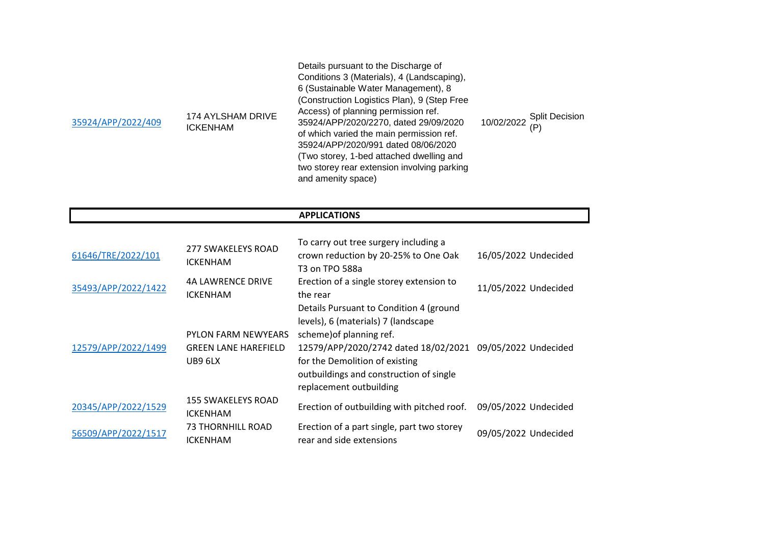| 35924/APP/2022/409 | 174 AYLSHAM DRIVE<br><b>ICKENHAM</b> | Details pursuant to the Discharge of<br>Conditions 3 (Materials), 4 (Landscaping),<br>6 (Sustainable Water Management), 8<br>(Construction Logistics Plan), 9 (Step Free<br>Access) of planning permission ref.<br>35924/APP/2020/2270, dated 29/09/2020<br>of which varied the main permission ref.<br>35924/APP/2020/991 dated 08/06/2020<br>(Two storey, 1-bed attached dwelling and<br>two storey rear extension involving parking<br>and amenity space) | 10/02/2022 Split Decision |
|--------------------|--------------------------------------|--------------------------------------------------------------------------------------------------------------------------------------------------------------------------------------------------------------------------------------------------------------------------------------------------------------------------------------------------------------------------------------------------------------------------------------------------------------|---------------------------|
|--------------------|--------------------------------------|--------------------------------------------------------------------------------------------------------------------------------------------------------------------------------------------------------------------------------------------------------------------------------------------------------------------------------------------------------------------------------------------------------------------------------------------------------------|---------------------------|

## **APPLICATIONS**

| 61646/TRE/2022/101  | 277 SWAKELEYS ROAD<br><b>ICKENHAM</b>                                | To carry out tree surgery including a<br>crown reduction by 20-25% to One Oak<br>T3 on TPO 588a                                                                                                                                                                                 | 16/05/2022 Undecided |
|---------------------|----------------------------------------------------------------------|---------------------------------------------------------------------------------------------------------------------------------------------------------------------------------------------------------------------------------------------------------------------------------|----------------------|
| 35493/APP/2022/1422 | <b>4A LAWRENCE DRIVE</b><br><b>ICKENHAM</b>                          | Erection of a single storey extension to<br>the rear                                                                                                                                                                                                                            | 11/05/2022 Undecided |
| 12579/APP/2022/1499 | <b>PYLON FARM NEWYEARS</b><br><b>GREEN LANE HAREFIELD</b><br>UB9 6LX | Details Pursuant to Condition 4 (ground<br>levels), 6 (materials) 7 (landscape<br>scheme) of planning ref.<br>12579/APP/2020/2742 dated 18/02/2021 09/05/2022 Undecided<br>for the Demolition of existing<br>outbuildings and construction of single<br>replacement outbuilding |                      |
| 20345/APP/2022/1529 | <b>155 SWAKELEYS ROAD</b><br><b>ICKENHAM</b>                         | Erection of outbuilding with pitched roof.                                                                                                                                                                                                                                      | 09/05/2022 Undecided |
| 56509/APP/2022/1517 | 73 THORNHILL ROAD<br><b>ICKENHAM</b>                                 | Erection of a part single, part two storey<br>rear and side extensions                                                                                                                                                                                                          | 09/05/2022 Undecided |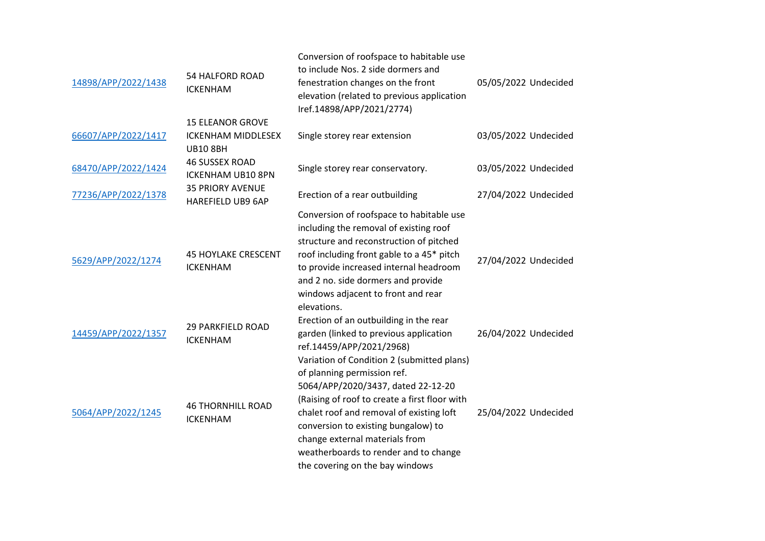| 14898/APP/2022/1438 | <b>54 HALFORD ROAD</b><br><b>ICKENHAM</b>                               | Conversion of roofspace to habitable use<br>to include Nos. 2 side dormers and<br>fenestration changes on the front<br>elevation (related to previous application<br>Iref.14898/APP/2021/2774)                                                                                                                      | 05/05/2022 Undecided |
|---------------------|-------------------------------------------------------------------------|---------------------------------------------------------------------------------------------------------------------------------------------------------------------------------------------------------------------------------------------------------------------------------------------------------------------|----------------------|
| 66607/APP/2022/1417 | <b>15 ELEANOR GROVE</b><br><b>ICKENHAM MIDDLESEX</b><br><b>UB10 8BH</b> | Single storey rear extension                                                                                                                                                                                                                                                                                        | 03/05/2022 Undecided |
| 68470/APP/2022/1424 | <b>46 SUSSEX ROAD</b><br><b>ICKENHAM UB10 8PN</b>                       | Single storey rear conservatory.                                                                                                                                                                                                                                                                                    | 03/05/2022 Undecided |
| 77236/APP/2022/1378 | <b>35 PRIORY AVENUE</b><br><b>HAREFIELD UB9 6AP</b>                     | Erection of a rear outbuilding                                                                                                                                                                                                                                                                                      | 27/04/2022 Undecided |
| 5629/APP/2022/1274  | <b>45 HOYLAKE CRESCENT</b><br><b>ICKENHAM</b>                           | Conversion of roofspace to habitable use<br>including the removal of existing roof<br>structure and reconstruction of pitched<br>roof including front gable to a 45* pitch<br>to provide increased internal headroom<br>and 2 no. side dormers and provide<br>windows adjacent to front and rear<br>elevations.     | 27/04/2022 Undecided |
| 14459/APP/2022/1357 | <b>29 PARKFIELD ROAD</b><br><b>ICKENHAM</b>                             | Erection of an outbuilding in the rear<br>garden (linked to previous application<br>ref.14459/APP/2021/2968)<br>Variation of Condition 2 (submitted plans)                                                                                                                                                          | 26/04/2022 Undecided |
| 5064/APP/2022/1245  | <b>46 THORNHILL ROAD</b><br><b>ICKENHAM</b>                             | of planning permission ref.<br>5064/APP/2020/3437, dated 22-12-20<br>(Raising of roof to create a first floor with<br>chalet roof and removal of existing loft<br>conversion to existing bungalow) to<br>change external materials from<br>weatherboards to render and to change<br>the covering on the bay windows | 25/04/2022 Undecided |